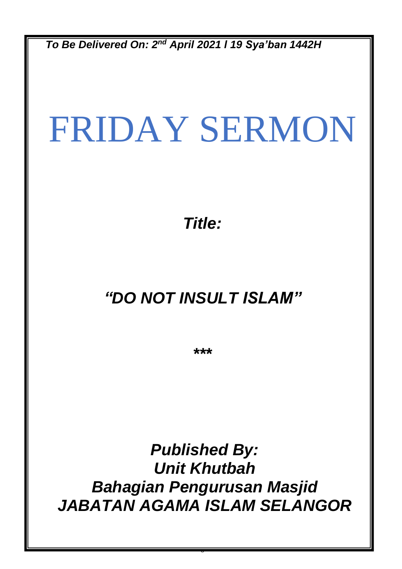*To Be Delivered On: 2 nd April 2021 l 19 Sya'ban 1442H*

# FRIDAY SERMON

*Title:*

# *"DO NOT INSULT ISLAM"*

*\*\*\**

*Published By: Unit Khutbah Bahagian Pengurusan Masjid JABATAN AGAMA ISLAM SELANGOR*

0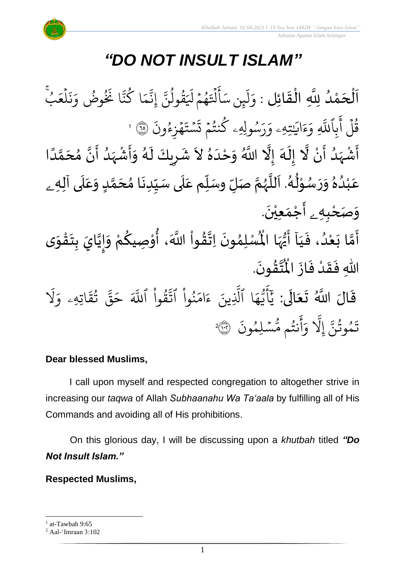

# *"DO NOT INSULT ISLAM"*

ا<br>إ نة<br>ا اَلْحَمْدُ لِلَّهِ الْقَائِلِ : وَلَيِن و<br>و ់<br>ត  $\overline{\phantom{a}}$ ֦֧֦֧֦֦֧֦֧֦֧֦֦֦֦֦֧֦֧֦֧֦֧֦֝֟֓֟֓֟֓֟֓֟֓֟֓֟֓֟֓֟֓֟֓֟֓֟֓֟֩֕֟֓֟֩֕֟֓֟֓֟֩֕֟֓֟֩֕֟֓֟֓֟֓֟֓֟֓֟֓֟֓֟֩֩֩֩  $\overline{\phantom{a}}$  $\frac{1}{2}$ ْ .<br>ا ل  $\frac{1}{\alpha}$ وَلَيِنِ سَأَلْتَهُمْ .<br>م و<br>م  $\ddot{\phantom{0}}$ ر<br>1 ۡل ِ<br>ج  $\overline{\mathcal{L}}$ ِ ؙؚ سَالْتَهُمْ لَيَقُولُنَّ إِنَّمَا كُنَّا نَخُوضُ وَنَلْعَبُ ُ  $\frac{1}{2}$ ع ل ہ<br>1  $\ddot{\cdot}$ بر<br>ذ  $\frac{1}{\alpha}$ و وض ُو و<br>د  $\tilde{\cdot}$ ا َن ِ<br>پ ن ا ك و<br>م  $\frac{1}{2}$ م ِ<br>په ِن إ ِ<br>پ ن ول ق  $\frac{1}{\sqrt{2}}$ ور  $\overline{\phantom{a}}$ ر<br>1 اے<br>:  $\ddot{\cdot}$ ۿؘزِءُونَ و<br>و ة  $\ddot{\phantom{0}}$ تر م<br>ست .<br>.  $\ddot{\cdot}$ ت .<br>م سُولِهِۦ كَنتُمۡ و<br>په و<br>م و<br>م ِ<br>م ر<br><u>ر</u>  $\frac{1}{c}$ تِهِۦ و َٰ ِ اي  $\tilde{\epsilon}$ ء  $\frac{1}{\alpha}$ ِ و بر<br>آ بِاللَّهِ ِ<br>ج أ ت قُلْ أَبِاللَّهِ وَءَايَتِيهِۦ وَرَسُولِهِۦ كُنتُمْ تَسۡتَهۡزِءُونَ ۞ ' و<br>د ے<br>ا لَّ حَسَّى اللَّهُ وَحْدَهُ لاَ شَرِيكَ لَهُ وَأَشْهَدُ أَنَّ مُحَمَّدًا ំ<br>• ֝֝֝<br>֧֧֝֝֬֝֬֝֓֝֬֝֓֝֬֝֝֬֝֬֝֓֝֬֝֬֝֬֝֓֟֓֝֬֝֓֟֝֬֝֬ م<br>و ر<br>زن ّ ِ<br>پ ۔<br>م  $\frac{1}{\epsilon}$  $\frac{1}{2}$ ا<br>الم ً<br>ا ل<br>م  $\frac{1}{2}$ ا<br>م  $\sum_{i=1}^{n}$ ،<br>ا ر<br>زا ْ<br>;  $\ddot{\mathbf{z}}$  $\tilde{\cdot}$ ر<br>ر<br>ا ِ<br>ا ِ  $\ddot{\phantom{0}}$  $\lambda$  $\frac{1}{2}$ ِ<br>ا  $\tilde{\cdot}$ ً<br>م عَبْدُهُ وَرَسُوْلُهُ. اَللَّهُمَّ صَلِّ وسَلِّم عَلَى سَيِّدِنَا مُحَمَّدٍ وَعَلَى آلِهِ ـ  $\overline{\mathbf{r}}$ ِ<br>م  $\tilde{\cdot}$ <u>لم</u> ر<br>آ )<br>ጎ  $\ddot{\phantom{0}}$  $\frac{1}{1}$  $\overline{\mathbf{1}}$ ِ<br>م  $\tilde{\mathbf{i}}$ تا<br>م ر<br>ر<br>ر نز<br>آ َ .<br>لم ٍ<br>مُ ់<br>្ و<br>ر  $\ddot{\phantom{0}}$  $\tilde{\cdot}$  $\frac{1}{2}$ و<br>ا ْ و*َص<sub>َ</sub>حْبِهِ <sub>ۦ</sub>* أَجْمَعِيْنَ. ْ  $\ddot{\phantom{0}}$ ់<br>(  $\tilde{\mathbf{A}}$  $\ddot{\mathbf{z}}$ ِ<br>أَمَّا بَعْدُ، فَيَا أَيُّهَا الْمُسْلِمُونَ اِتَّقُواْ اللَّهَ، أُوْصِيكُمْ وَإِيَّايَ بِتَقْوَى َ  $\ddot{\cdot}$ .<br>و ំ<br>រ  $\ddot{\cdot}$ ี<br>วั ِ<br>پنج  $\tilde{\phantom{a}}$ ֦֧<u>֦</u>  $\ddot{\phantom{0}}$ **ٍ**<br>-ا<br>ا  $\frac{1}{2}$  $\tilde{\cdot}$ ر<br>مخ ֦֧֦֧֦ **ہے**<br>'' ْ **ٍ** ا<br>به<br>:  $\ddot{\phantom{0}}$ ›<br>ለ أَيُّهَا الْمُأْ ِ<br>پاس<br>رو <sup>ب</sup>ُر<br>•  $\tilde{\mathbf{r}}$ .  $\ddot{\phantom{0}}$ ت**َقُونَ**  $\frac{9}{4}$ ا<br>ایر ہ<br>پ اللّٰهِ فَقَدْ فَازَ الْمُ  $\ddot{\cdot}$  $\ddot{\cdot}$ ْ  $\frac{1}{2}$  $\ddot{\cdot}$ قَالَ اللَّهُ تَعَالَى:  $\ddot{\mathbf{r}}$ ِ<br>ای  $\frac{1}{2}$  $\ddot{\phantom{0}}$ ر<br>1 َل ر<br>م اتِهِۦ و  $\ddot{\mathbf{r}}$ ق ت و<br>په ِ<br>په قی  $\overline{\phantom{a}}$ ح ِ<br>آک قُوا أَللَّهَ ْ مُ ور ِ<br>په نُوا اڌّ ْ ُو<br>و  $\frac{1}{2}$ ام ر<br>ء ء ِينَ ِ<br>آ ا ٱَّل ِ<br>م ه و<br>د سَ<br>ڊ ۔<br>ج أ ِ<br>د بد  $\ddot{\cdot}$ سُلِمُونَ و .<br>. و<br>م نتُم مَّ و<br>په ِ<br>ج أ ِ<br>م و ىد<br>أ َِل إ ِ<br>په تَمُوثُنَّ إِلَّا وَأَنتُم مُّسۡلِمُونَ ۞ و<br>په و<br>م 2

# **Dear blessed Muslims,**

I call upon myself and respected congregation to altogether strive in increasing our *taqwa* of Allah *Subhaanahu Wa Ta'aala* by fulfilling all of His Commands and avoiding all of His prohibitions.

On this glorious day, I will be discussing upon a *khutbah* titled *"Do Not Insult Islam."*

# **Respected Muslims,**

<sup>&</sup>lt;sup>1</sup> at-Tawbah 9:65

<sup>2</sup> Aal-'Imraan 3:102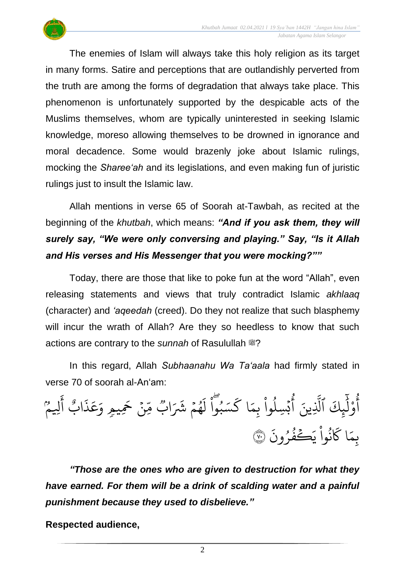

The enemies of Islam will always take this holy religion as its target in many forms. Satire and perceptions that are outlandishly perverted from the truth are among the forms of degradation that always take place. This phenomenon is unfortunately supported by the despicable acts of the Muslims themselves, whom are typically uninterested in seeking Islamic knowledge, moreso allowing themselves to be drowned in ignorance and moral decadence. Some would brazenly joke about Islamic rulings, mocking the *Sharee'ah* and its legislations, and even making fun of juristic rulings just to insult the Islamic law.

Allah mentions in verse 65 of Soorah at-Tawbah, as recited at the beginning of the *khutbah*, which means: *"And if you ask them, they will surely say, "We were only conversing and playing." Say, "Is it Allah and His verses and His Messenger that you were mocking?""*

Today, there are those that like to poke fun at the word "Allah", even releasing statements and views that truly contradict Islamic *akhlaaq* (character) and *'aqeedah* (creed). Do they not realize that such blasphemy will incur the wrath of Allah? Are they so heedless to know that such actions are contrary to the *sunnah* of Rasulullah  $\frac{48}{3}$ ?

In this regard, Allah *Subhaanahu Wa Ta'aala* had firmly stated in verse 70 of soorah al-An'am:

ؚ<br>ا و.<br>م لِيمٌ<br>سِيمٌ ِ<br>ج أ و<br>' اب  $\ddot{\cdot}$ ذ ر<br>ح ع  $\frac{1}{\alpha}$ نُ <sup>حَ</sup>مِيمِ وَ .<br>• ں<br>س ∝<br>مر وو اب َ<sup>و ۽</sup><br>ھم شَرَ تو<br>م  $\tilde{\mathfrak{f}}$ ل ֦֘<u>֚</u> <u>ہ</u><br>ا گَسَبُواْ ،<br>و ا ك  $\frac{1}{2}$ ينَ أُبۡسِلُوا۟ بِمَ <u>ہ</u><br>ا و<br>ا ت ڊ و<br>ع ِ<br>آ ِ<br>بِكَ ٱلَّذِ بِر<br>ا ل و ْ و<br>م أ  $\ddot{\cdot}$ نُواْ يَڪَفُرُونَ ُو و<br>و ْ مُ ُو<br>په ر<br>م ا َك  $\frac{1}{2}$ بِمَا كَانُوا يَكْفُرُونَ ۞

*"Those are the ones who are given to destruction for what they have earned. For them will be a drink of scalding water and a painful punishment because they used to disbelieve."*

**Respected audience,**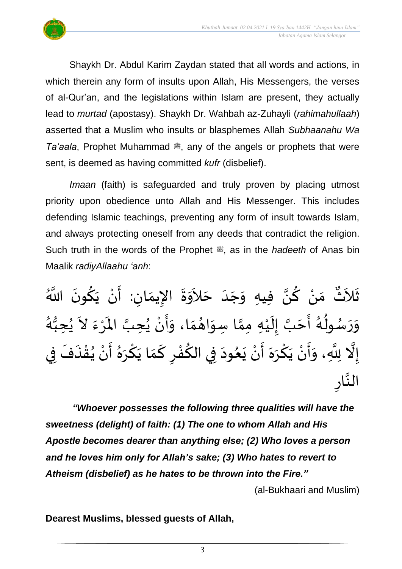

Shaykh Dr. Abdul Karim Zaydan stated that all words and actions, in which therein any form of insults upon Allah, His Messengers, the verses of al-Qur'an, and the legislations within Islam are present, they actually lead to *murtad* (apostasy). Shaykh Dr. Wahbah az-Zuhayli (*rahimahullaah*) asserted that a Muslim who insults or blasphemes Allah *Subhaanahu Wa Ta'aala*, Prophet Muhammad  $\ddot{\mathcal{L}}$ , any of the angels or prophets that were sent, is deemed as having committed *kufr* (disbelief).

*Imaan* (faith) is safeguarded and truly proven by placing utmost priority upon obedience unto Allah and His Messenger. This includes defending Islamic teachings, preventing any form of insult towards Islam, and always protecting oneself from any deeds that contradict the religion. Such truth in the words of the Prophet  $\ddot{\mathcal{L}}$ , as in the *hadeeth* of Anas bin Maalik *radiyAllaahu 'anh*:

مَنْ كُنَّ فِيهِ وَجَدَ حَلاَوَةَ الإِيمَانِ: أَنْ يَكُونَ اللَّهُ  $\ddot{\phantom{0}}$ <u>ل</u>  $\ddot{\phantom{0}}$ ْ  $\frac{1}{2}$  $\frac{1}{\lambda}$  $\ddot{\phantom{0}}$ ِ<br>پُ  $\tilde{\phantom{a}}$  $\overline{\phantom{a}}$  $\frac{1}{1}$  $\ddot{\phantom{0}}$  $\frac{1}{2}$ بة<br>• <u>ہ</u> ំ<br>•  $\frac{1}{2}$ و<br>م ثَلاَثٌ  $\sim$  $\frac{1}{2}$ د<br>گ بَّ إِلَيْهِ مِمَّا سِوَاهُمَا، وَأَنْ يُحِبَّ المَرْءَ لاَ يُحِبُّهُ ُّ ُ<br>ٍ م َ  $\ddot{\phantom{0}}$ ْ ์ $\mathbf{r}$ ا<br>سا ُ<br>په ْ  $\frac{1}{2}$  $\frac{1}{2}$  $\frac{1}{2}$ }<br>**ይ**  $\frac{1}{2}$ بر<br>م ٝ<br>ْ  $\tilde{\mathbf{r}}$  $\frac{1}{2}$ .<br>نما<sup>ت</sup> وَرَسُولُهُ أَحَ ے<br>ج و<br>گ ይ<br>ነ و<br>,  $\overline{\phantom{a}}$  $\frac{1}{2}$  $\ddot{\phantom{0}}$ إِلَّا لِلَّهِ، وَأَنْ يَكْرَهَ أَنْ يَعُودَ فِي الكُفْرِ كَمَا يَكْرَهُ أَنْ يُقْذَفَ فِي ֦֧֦֧֦֧֝<u>֦</u> ِ<br>پ ْ ْ  $\frac{1}{2}$ ُ  $\ddot{\phantom{0}}$ ْ  $\ddot{\phantom{0}}$  $\frac{1}{2}$ ا<br>م ֦֧֦֧֦֧<u>֦</u> <u>ل</u>  $\sim$  $\frac{1}{2}$ े $\frac{1}{2}$ ់<br>• ا<br>پنج  $\ddot{\phantom{0}}$  $\frac{1}{2}$ ؚ<br>م  $\ddot{\phantom{0}}$ ់<br>•  $\frac{1}{2}$  $\frac{1}{2}$ اتا<br>ا ے<br>تا  $\frac{1}{2}$  $\frac{1}{2}$ <u>ر</u> ار الن ا<br>په

*"Whoever possesses the following three qualities will have the sweetness (delight) of faith: (1) The one to whom Allah and His Apostle becomes dearer than anything else; (2) Who loves a person and he loves him only for Allah's sake; (3) Who hates to revert to Atheism (disbelief) as he hates to be thrown into the Fire."*

(al-Bukhaari and Muslim)

**Dearest Muslims, blessed guests of Allah,**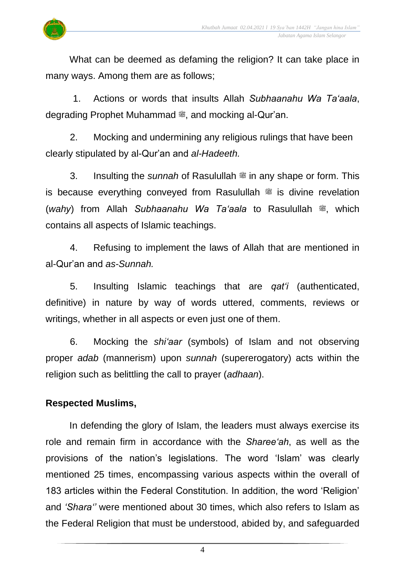

What can be deemed as defaming the religion? It can take place in many ways. Among them are as follows;

1. Actions or words that insults Allah *Subhaanahu Wa Ta'aala*, degrading Prophet Muhammad . and mocking al-Qur'an.

2. Mocking and undermining any religious rulings that have been clearly stipulated by al-Qur'an and *al-Hadeeth.*

3. Insulting the *sunnah* of Rasulullah is in any shape or form. This is because everything conveyed from Rasulullah  $\ddot{\mathscr{E}}$  is divine revelation (*wahy*) from Allah *Subhaanahu Wa Ta'aala* to Rasulullah  $\ddot{m}$ , which contains all aspects of Islamic teachings.

4. Refusing to implement the laws of Allah that are mentioned in al-Qur'an and *as-Sunnah.*

5. Insulting Islamic teachings that are *qat'i* (authenticated, definitive) in nature by way of words uttered, comments, reviews or writings, whether in all aspects or even just one of them.

6. Mocking the *shi'aar* (symbols) of Islam and not observing proper *adab* (mannerism) upon *sunnah* (supererogatory) acts within the religion such as belittling the call to prayer (*adhaan*).

### **Respected Muslims,**

In defending the glory of Islam, the leaders must always exercise its role and remain firm in accordance with the *Sharee'ah*, as well as the provisions of the nation's legislations. The word 'Islam' was clearly mentioned 25 times, encompassing various aspects within the overall of 183 articles within the Federal Constitution. In addition, the word 'Religion' and *'Shara''* were mentioned about 30 times, which also refers to Islam as the Federal Religion that must be understood, abided by, and safeguarded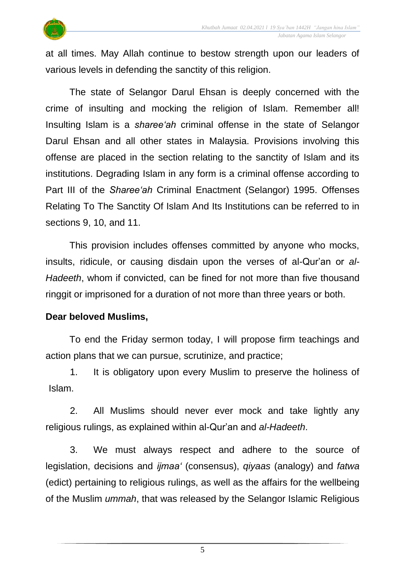

at all times. May Allah continue to bestow strength upon our leaders of various levels in defending the sanctity of this religion.

The state of Selangor Darul Ehsan is deeply concerned with the crime of insulting and mocking the religion of Islam. Remember all! Insulting Islam is a *sharee'ah* criminal offense in the state of Selangor Darul Ehsan and all other states in Malaysia. Provisions involving this offense are placed in the section relating to the sanctity of Islam and its institutions. Degrading Islam in any form is a criminal offense according to Part III of the *Sharee'ah* Criminal Enactment (Selangor) 1995. Offenses Relating To The Sanctity Of Islam And Its Institutions can be referred to in sections 9, 10, and 11.

This provision includes offenses committed by anyone who mocks, insults, ridicule, or causing disdain upon the verses of al-Qur'an or *al-Hadeeth*, whom if convicted, can be fined for not more than five thousand ringgit or imprisoned for a duration of not more than three years or both.

### **Dear beloved Muslims,**

To end the Friday sermon today, I will propose firm teachings and action plans that we can pursue, scrutinize, and practice;

1. It is obligatory upon every Muslim to preserve the holiness of Islam.

2. All Muslims should never ever mock and take lightly any religious rulings, as explained within al-Qur'an and *al-Hadeeth*.

3. We must always respect and adhere to the source of legislation, decisions and *ijmaa'* (consensus), *qiyaas* (analogy) and *fatwa* (edict) pertaining to religious rulings, as well as the affairs for the wellbeing of the Muslim *ummah*, that was released by the Selangor Islamic Religious

5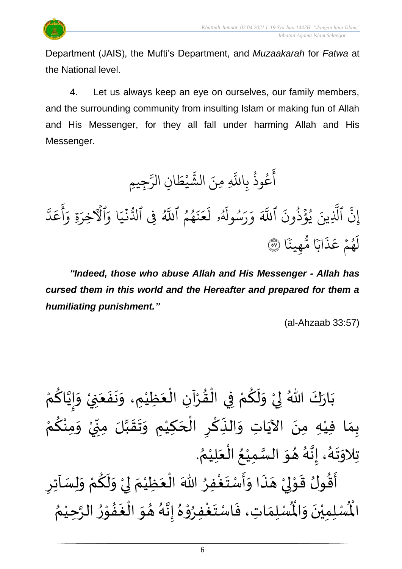

Department (JAIS), the Mufti's Department, and *Muzaakarah* for *Fatwa* at the National level.

4. Let us always keep an eye on ourselves, our family members, and the surrounding community from insulting Islam or making fun of Allah and His Messenger, for they all fall under harming Allah and His Messenger.

ِجِيمِ ى<br>م ِن الر ا  $\frac{1}{2}$ ط ي ْ لن<br>په لَّهِ مِنَ الشَّ عُوذُ بِاللَّهِ و<br>په و<br>م ِ<br>ج أ

یہ<br>۱ لمَّ ِ<br>م ع ِ<br>ج أ ر<br>م ةِ و ِ الأخرَ .<br>ه ا و  $\frac{1}{1}$ ب<br>نبي .<br>? و<br>سا فِی الدَّ ِ<br>په و<br>**ا** لم مْمُ اللَّهُ و و<br>م  $\ddot{\cdot}$ بر<br>ند  $\frac{1}{2}$ بر<br>ج .<br>آ ۥ ل و<br>مم .<br>آ مِّرِلْهُ و<br>م ِ<br>م ر<br><u>ر</u>  $\frac{1}{c}$ و ہے<br>آکے اللَّهَ  $\ddot{\cdot}$ ينَ يُؤَذُونَ و<br>په ت و<br>د ِ<br>آ الَّذِ ِ<br>پَ ِن إ ا  $\ddot{\cdot}$ ِهين و<br>مم ا م ٗ اب  $\ddot{\cdot}$ ذ ِ<br>م هُمۡ عَـ .<br>م و<br>م .<br>آ لَهُمْ عَذَابًا مُّهِينًا ۞

*"Indeed, those who abuse Allah and His Messenger - Allah has cursed them in this world and the Hereafter and prepared for them a humiliating punishment."*

(al-Ahzaab 33:57)

ْ اللّهُ لِيْ وَلَكُمْ فِي الْقُرْآنِ الْعَظِيْمِ، وَنَفَعَنِيْ َ  $\frac{1}{2}$  $\ddot{\phantom{0}}$  $\tilde{\cdot}$ ْ  $\frac{1}{2}$ ֦֧֦֧֦֧֦֧֦֧֦֜֜֜֜֓֓֟֓֟֓<br>֧֝֜֜֜֜֜֜֜**֓** ْ  $\frac{9}{4}$ ֦֧֦֧֦֧֦֧֦֦֜֜֜֜֜֜֜֜֜<br>֧ׅׅ֝֜֜֜֜֜֜֜֜֜֜֝֜֜֝֜<del>֛</del> ْ <u>ہ</u>  $\tilde{\mathbf{r}}$  $\frac{1}{2}$ ْ ء<br>وَ الأو بَارَكَ اللّهُ لِيْ وَلَكُمْ فِي الْقُرْآنِ الْعَظِيْمِ، وَنَفَعَنِيْ وَإِيَّاكُمْ  $\frac{1}{2}$  $\ddot{\ }$ ْ <u>ل</u> ن<br>•  $\sum_{i=1}^n$  $\frac{1}{2}$ ْ بِمَا فِيْهِ مِنَ الآيَاتِ وَالنِّكْرِ الْحَكِيْمِ وَتَقَبَّلَ مِنِّيْ وَمِنْكُمْ -<br>-<br>•  $\sum$ ن<br>ا  $\frac{1}{2}$  $\frac{1}{2}$  $\tilde{\cdot}$ ំ<br>រ  $\overline{\phantom{a}}$ ֝֟֜֝֟֜֝֟֜֜֜<mark>֦</mark> <u>ر</u> ؚ<br>م  $\frac{1}{2}$ ์ $\frac{1}{2}$ ِ<br>پُ  $\ddot{\phantom{0}}$ ំ<br>រ  $\frac{1}{2}$ ْ ِ<br>م ْ  $\tilde{\cdot}$ . ़<br>१ تِلاوَتَهُ، إِنَّهُ هُوَ السَّمِيْعُ الْعَلِيْمُ ْ  $\frac{1}{2}$ ֦֧֦֧֦֧֦֧֦֜֜֜֜֜֜֜֜<br>֧ׅׅ֝֜֜֜֜֜֜֜֜֜֜֜֝֜֜֝֜<del>֟</del> ُ ٝ<br>ؙ ا<br>ما  $\frac{1}{2}$  $\frac{1}{2}$ و<br>گ لة<br>•  $\frac{1}{2}$ .<br>ر<br>ا  $\ddot{\ }$  $\frac{1}{2}$ <u>ر</u> أَقُولُ قَوْلِيْ هَذَا وَأَسْتَغْفِرُ اللّٰهَ الْعَظِيْمَ لِيْ وَلَكُمْ وَلِسَاَئِرِ  $\tilde{\cdot}$ ْ <u>و</u>  $\tilde{\mathbf{r}}$  $\tilde{\cdot}$ ْ إ ्<br>द ْ َ ֦֧֦֧֦֧֦֧֦֧֦֧֦֧֦֧֜֜֜֓֓<br>**֡** ∫<br>∕ ِ<br>وف  $\ddot{\phantom{0}}$ ارا<br>∶ٍ  $\frac{1}{2}$  $\ddot{\cdot}$  $\overline{a}$ ំ<br>, لمح ْ  $\frac{1}{2}$ ر<br>ژ ا<br>ع

ُ رِبِ<br>لَمُسْلِمَاتِ، فَاسْتَغْفِرُوْهُ إِنَّهُ هُوَ الْغَفُوْرُ الرَّحِيْمُ ْ ن<br>م  $\frac{1}{2}$ ֦֧֦֧֦֦֧֦֧֦֧֦֧֦֧֦֧֦֧֝֟֓֓֓֟֓֓<br>**֧**  $\frac{1}{2}$  $\ddot{\cdot}$ ر<br>ف  $\frac{1}{2}$  $\frac{1}{2}$ و<br>گ ن<br>•<br>• ।<br>-<br>-ُ י<br>י **ء** ِ<br>وف  $\ddot{\ }$  $\ddot{\cdot}$  $\frac{1}{2}$ ر۔<br>لْمُسْلِمِيْنَ وَالْمُ  $\frac{1}{2}$  $\ddot{\phantom{0}}$ ់<br>**់** المأ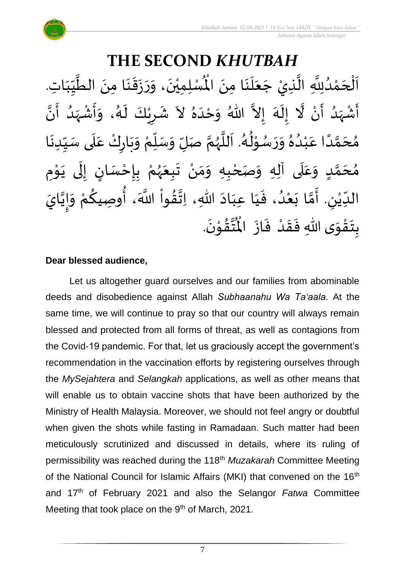

## **Dear blessed audience,**

Let us altogether guard ourselves and our families from abominable deeds and disobedience against Allah *Subhaanahu Wa Ta'aala*. At the same time, we will continue to pray so that our country will always remain blessed and protected from all forms of threat, as well as contagions from the Covid-19 pandemic. For that, let us graciously accept the government's recommendation in the vaccination efforts by registering ourselves through the *MySejahtera* and *Selangkah* applications, as well as other means that will enable us to obtain vaccine shots that have been authorized by the Ministry of Health Malaysia. Moreover, we should not feel angry or doubtful when given the shots while fasting in Ramadaan. Such matter had been meticulously scrutinized and discussed in details, where its ruling of permissibility was reached during the 118th *Muzakarah* Committee Meeting of the National Council for Islamic Affairs (MKI) that convened on the 16<sup>th</sup> and 17th of February 2021 and also the Selangor *Fatwa* Committee Meeting that took place on the 9<sup>th</sup> of March, 2021.

7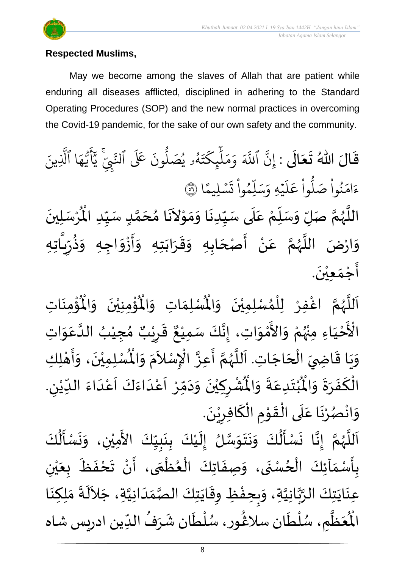



## **Respected Muslims,**

May we become among the slaves of Allah that are patient while enduring all diseases afflicted, disciplined in adhering to the Standard Operating Procedures (SOP) and the new normal practices in overcoming the Covid-19 pandemic, for the sake of our own safety and the community.

قَالَ اللّهُ تَعَالَى : إِنَّ ٱللّهَ وَمَلِّيكَتَهُو يُصَلُّونَ عَلَى ٱلتّيّ يَأْيُهَا ٱلَّذِينَ  $\ddot{\phantom{0}}$ َ  $\frac{1}{2}$  $\frac{1}{2}$ یہ<br>۱ ا الَّذِ ِ<br>م ه و<br>د سَ<br>ڊ ِ<br>اع  $\overline{\mathcal{L}}$ ِ<br>د يج<br>تنجي ي<del>ا</del> .<br>تَ عَلَى ٱلتَّ ون و<br>ا و<br>٩و يُصَلُّ و<br>د و<br>لم  $\ddot{\phantom{0}}$ ت ر<br>م ِك ئ بر<br>آ  $\uplambda$  $\frac{1}{2}$ بر<br>م  $\frac{1}{\alpha}$ و ہ<br>آکے اللَّهَ ِ<br>په ِن إ ا  $\frac{2}{1}$ .<br>سليمًا .<br>.  $\ddot{\cdot}$ ت ْ وا ِم و ں<br>آ ل ِ<br>م بر<br>سد  $\frac{1}{c}$ يُهِ وَ, .<br>. ر<br>آ  $\uplambda$ ِ<br>م ع وا ْ و<br>ا ب<sub>ُواْ صَلَّ</sub> ؙ<br>
<sup>ب</sup> ُو<br>و  $\frac{1}{2}$ ءَامَنُواْ صَلُّواْ عَلَيْهِ وَسَلِّمُواْ تَسۡلِيمًا ۞ اللَّهُمَّ صَلِّ وَسَلِّمْ عَلَى سَيِّدِنَا وَمَوْلاَنَا مُحَمَّدٍ سَيِّدِ الْمُرْسَلِينَ  $\ddot{\phantom{0}}$ ْ  $\ddot{\mathbf{r}}$ للَّهُمَّ صَلِّ وَسَلِّمْ عَلَى سَيِّدِنَا وَمَوْلاَنَا مُحَمَّدٍ سَيِّدِ الْمُ  $\frac{1}{1}$  $\frac{1}{2}$ <u>لم</u> ت<br>م  $\overline{\phantom{a}}$  $\frac{1}{2}$  $\overline{\phantom{a}}$  $\sim$ י<br>י  $\frac{1}{2}$  $\frac{1}{2}$ .<br>.<br>.  $\frac{1}{1}$ ۔<br>آ .<br>م ْ :<br>i  $\frac{1}{2}$  $\frac{1}{2}$ ا<br>مح ر<br>ر<br>ر ة<br>أ  $\frac{1}{2}$ وَارْضَ اللَّهُمَّ عَنْ أَصْحَابِهِ وَقَرَابَتِهِ وَأَزْوَاجِهِ وَذُرِّيَّاتِهِ تا ہے<br>م .<br>تا  $\frac{1}{2}$ ِ ا<br>باد<br>•  $\frac{1}{2}$  $\frac{1}{2}$ ا<br>:  $\frac{1}{2}$  $\frac{1}{2}$  $\ddot{\phantom{0}}$  $\frac{1}{2}$  $\frac{1}{2}$  $\frac{1}{2}$ ़<br>-<br>-با<br>: ំ<br>• .<br>م ن<br>م ر<br>ر<br>ر ا<br>آ  $\ddot{\phantom{0}}$ أَجْمَع<u>ي</u>ُنَ. ់<br>**រ**  $\frac{1}{2}$ ֦֧<u>֦</u> ا<br>پنج

ؙۊؙ۠ڡؚنَاتِ  $\ddot{\phantom{0}}$ ់<br>: ُْ ُؤْمِنِيْنَ ۖ وَالْمُ  $\frac{1}{2}$  $\ddot{\phantom{0}}$ ْ ْ<br>م  $\mathbf{r}^{\circ}$ ِ<br>لْمُسْلِمَاتِ وَالْمُ  $\frac{1}{2}$  $\frac{1}{2}$ ِ<br>اَللَّهُمَّ اغْفِرْ لِلْمُسْلِمِيْنَ وَالْمُ  $\frac{1}{2}$  $\ddot{\phantom{0}}$ ់<br>រ ُ<br>አ ់<br>ព្រ ِ<br>و ن<br>م ر<br>ر<br>ر ا<br>آ ً<br>آ <sup>ن</sup>َحْيَاءِ َ ֦֧֦֧֦֧֦֧֦֧֦֧֦֧֦֧<br>**֧** ـــ<br>م<br>م الْأَحْيَاءِ مِنْهُمْ وَالأَمْوَاتِ، إِنَّكَ سَمِيْعٌ قَرِيْبٌ مُجِيْبُ ا ْ ِ<br>رو ْ  $\frac{1}{2}$ ْ<br>م ں<br>ج  $\frac{1}{2}$ ُ ٝ<br>ؙ ๋<br>ጎ ه<br>فيا ي ر ق <u>ر</u>  $\ddot{\mathbf{r}}$  $\frac{1}{2}$ ، إِنَّكَ سَمِيْعٌ قَرِيْبٌ مُجِيْبُ الدَّعَوَاتِ ْ ل<br>•<br>•  $\frac{1}{2}$ ِ<br>م ان<br>ا ا ِت. اجَ ح ال ِ ي اض ا ق ي ِك َ و ِل ه أ ، و ن ِ ِمي ل سْ ُْ  $\overline{\phantom{a}}$ ֦֧֦֧֦֧֦֧֦֧֦֧֦֧֦֧֟֓֓֓<br>**֧**  $\overline{a}$ ֦֧֦֦֦֝֝֝֝֝<br>֝֝֝֝֝֝֝֝֝֝֝֝֝֝֝֝֝֝֝֝֝֝<br>֝֟֝**֝**  $\ddot{\phantom{0}}$ י<br>**י**  $\frac{1}{2}$  $\frac{1}{2}$  $\ddot{\phantom{0}}$ ْ اَللَّهُمَّ أَعِزَّ الْإِسْلاَمَ وَالْمُ  $\tilde{\cdot}$ .<br>د  $\tilde{\zeta}$ ا<br>م بة  $\frac{1}{2}$ ن<br>م ر<br>ر<br>ر ا<br>ا ۔<br>آ . ِ ُشْرِكِيْنَ وَدَمِّرْ أَعْدَاءَكَ أَعْدَاءَ اللدِّيْنِ ْ  $\frac{1}{1}$  $\frac{1}{2}$ ا<br>ا .<br>م  $\frac{1}{2}$ ا<br>د  $\frac{1}{2}$ ا<br>-<br>ا ْ<br>م  $\overline{\phantom{a}}$ ّ<br>ْ  $\frac{1}{\lambda}$  $\overline{\phantom{a}}$  $\frac{1}{2}$  $\ddot{\phantom{0}}$ ់<br>រ ِ ْ  $\ddot{\bm{r}}$ ُبْتَدِعَةً وَالْمُ  $\frac{1}{2}$  $\frac{1}{2}$ .<br>م  $\ddot{\ }$ ٝ<br>ْ  $\ddot{\bm{r}}$ الْكَفَرَةَ وَالْمُ ์ $\overline{\phantom{a}}$  $\frac{1}{2}$  $\frac{1}{2}$  $\ddot{\cdot}$ ا<br>سم .<br>أ .  $\ddot{\phantom{0}}$ وَانْصُرْنَا عَلَى الْقَوْمِ الْكَافِرِيْنَ ْ ِ ์<br>้ `<br>∤  $\ddot{\phantom{0}}$ ْ  $\frac{1}{2}$ ْ<br>ا َ ِ<br>م  $\ddot{\phantom{0}}$ ْ و<br>د ់<br>•  $\frac{1}{2}$ 

رَ اللَّهُمَّ إِنَّا نَسْأَلُكَ وَنَتَوَسَّلُ إِلَيْكَ بِنَبِيِّكَ الأَمِيْنِ، وَنَسْأَلُكَ ا<br>با<br>:  $\frac{1}{2}$ ن<br>م ر<br>ر<br>ر ا<br>آ ्<br>। ُ<br>اُ∱  $\sum_{i=1}^{n}$  $\ddot{\phantom{0}}$  $\tilde{\cdot}$ ْ َ<br>ع  $\frac{1}{1}$  $\frac{1}{2}$  $\frac{1}{2}$  $\ddot{\phantom{0}}$ <u>ر</u><br>: ْ  $\tilde{\mathbf{r}}$ ।<br>-<br>-ا<br>ما  $\frac{1}{2}$  $\ddot{\ }$  $\ddot{\phantom{0}}$  $\tilde{\cdot}$ ر<br>پا  $\frac{1}{2}$  $\ddot{\cdot}$ .<br>بِأَسْمَاَئِكَ الْحُسْنَى، وَصِفَاتِكَ الْعُظُمَى، أَنْ تَحْفَظَ بِعَيْنِ ْ ي  $\frac{1}{2}$  $\frac{1}{\sqrt{2}}$  $\ddot{\cdot}$  $\frac{1}{2}$ ْ  $\sum_{i=1}^{n}$ ر<br>م ֦֧֦֧֦֧֦֧֦֧֦֧֦֧֦֧֦֧֦֧֦֧֦֧֦֧֝<br>**֧** }<br>• ֦֧֦֧֦֧֦֧֦֧֦֜֜֜֜֜֜֜<br>֧ׅׅ֝֜֜֜֜֜֜֜֜֜֜֝֜֜֝֜<del>֟</del>  $\ddot{\cdot}$  $\tilde{\cdot}$  $\ddot{\phantom{0}}$ ٍ<br>ِ ֦֧֦֧֦֧֦֧֦֧֦֧֦֧֦֧֜֜֓֓֟֓֟֓֟֓֟֓֟֓<br>**֡**  $\frac{1}{2}$  $\frac{1}{2}$ <u>ر</u>  $\ddot{\cdot}$ ِ<br>عِنَايَتِكَ الرَّبَّانِيَّةِ، وَبِحِفْظِ وِقَايَتِكَ الصَّمَدَانِيَّةِ، جَلاَلَةَ مَلِكِنَا ِ<br>پ  $\sim$ اتا<br>ا  $\frac{1}{1}$  $\frac{1}{2}$ اتا<br>مر  $\ddot{\phantom{0}}$  $\frac{1}{2}$ ້<br>:  $\frac{1}{2}$  $\frac{1}{2}$ ان<br>ا ن<br>م<br>۱ انہ<br>م  $\ddot{\ }$  $\ddot{\phantom{0}}$  $\ddot{\phantom{0}}$  $\frac{1}{2}$ ر<br>م ُعَظُمِ، سُلْطَ ا<br>أ و<br>م ر<br>آباد َ ر<br>مو الْمُعَظَّمِ، سُلْطَان سلَاغُور، سُلْطَان شَرَفُ الدِّين ادريس شاه  $\frac{1}{\sqrt{2}}$ ُ  $\frac{1}{2}$ ر<br>م ֦֧֦֧֦ ر<br>م }<br>፟<br>፟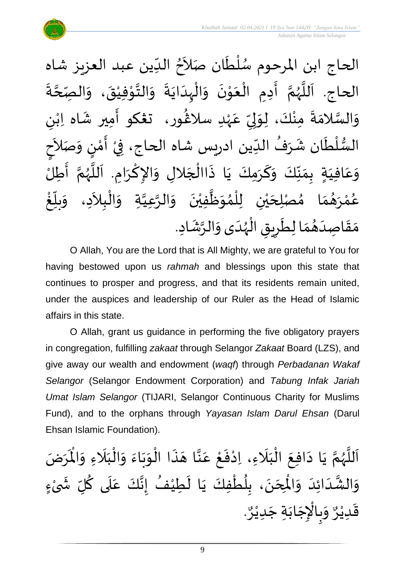

الحاج ابن المرحوم سُلْطَان صَلاَحُ الدِّين عبد العزيز شاه  $\frac{1}{\sqrt{2}}$ ُ  $\lambda$  $\ddot{\phantom{0}}$ ٝ<br>أ ر<br>م  $\ddot{\cdot}$ الحاج. اَللَّهُمَّ أَدِمِ الْعَوْنَ وَالْبِدَايَةَ وَالتَّوْفِيْقَ، وَالْصِّحَّةَ ة<br>م  $\frac{1}{2}$  $\frac{1}{2}$ ْ י<br>י الة  $\frac{1}{2}$  $\ddot{\cdot}$  $\ddot{\phantom{0}}$ ا<br>ا ้<br>∤  $\frac{1}{2}$  $\ddot{\phantom{0}}$ י<br>י  $\frac{1}{2}$ ֦֧֦֧֦֦֧֦֧֦֧֦֧֦֧֝֟֓֓֓֟֓֟֓֟֓֟֓֟֓֟֓֟֓֟֓֟֓֟֓֟֓֟֓֟֓֟֓֟֓֟֓<br>֧֝֩֩**֓**֧֧֓֟֡֟֓֝֟֓֝ ।<br>।<br>। َ ا<br>م و<br>ر ا<br>آ ،<br>آ ٝ<br>ؙ ى<br>وَالسَّلامَةَ مِنْكَ، لِوَلِيِّ عَہْدِ سلاڠُور، تَعْكُو أَمِير شَاه اِبْنِ  $\frac{1}{2}$ َ }<br>፟**፟** ٝ<br>ۣ<br>ؙ .<br>م  $\frac{\nu}{\nu}$ ِ<br>ب ل  $\frac{1}{2}$ ْ  $\ddot{\phantom{0}}$  $\frac{1}{2}$ ا<br>ما  $\frac{1}{2}$ ।<br>इ م<br>ح<br>ح ्<br>र السُّلْطَان شَرَفُ الدِّين ادريس شاه الحاج، فِيْ أَمْنٍ وَصَلاَ  $\tilde{\cdot}$ )<br>إ י<br>י  $\frac{1}{2}$ ْ  $\frac{1}{\sqrt{2}}$ ُ ا<br>په ।<br>€ ់<br>ព្ ر<br>سر<br>سر وَعَافِيَةٍ بِمَنَّكَ وَكَرَمِكَ يَا ذَاالْجَلالِ وَالإِكْرَامِ. اَللَّهُمَّ أَطِلُ ا<br>:<br>: تا<br>م ِ<br>وفيات<br>مراجع سم<br>تار<br>ا َ ।<br>।<br>। ∖<br>م  $\frac{1}{2}$  $\overline{\phantom{a}}$ ا<br>أ  $\ddot{\cdot}$  $\ddot{\phantom{0}}$ َ  $\frac{1}{2}$  $\frac{\nu}{\sqrt{2}}$  $\frac{1}{2}$  $\frac{1}{2}$  $\sum_{i=1}^{n}$ َ .<br>م  $\frac{1}{2}$ ້<br>.<br>. غ ֝<br>֧֡֟֟֟֟֟֟֟֟֟֟֟֓֟֓֟֓֟֓֟֓֟֓֟֓֟֓֟֓֟֓֟  $\sum_{i=1}^{n}$ بلاً  $\frac{1}{2}$ عُمْرَهُمَا مُصْلِحَيْنِ لِلْمُوَظَّفِيْنَ وَالرَّعِيَّةِ وَالْبِلاَدِ، وَ  $\sim$ ֦֧֦֧֦֧<u>֦</u> ا<br>ا<br>م ان<br>ا ان<br>م ์ $\overline{\phantom{a}}$  $\ddot{\phantom{0}}$ ْ ا<br>ا  $\frac{1}{2}$ ُ<br>አ ់<br>( ْ ي  $\overline{\phantom{a}}$ ๋<br>^  $\frac{1}{2}$  $\frac{1}{2}$ **ٔ** و<br>م مَقَاصِدَهُمَا لِطَرِيقِ الْهُدَى وَالرَّشَادِ. <u>ر</u>  $\frac{1}{\epsilon}$  $\frac{1}{2}$  $\frac{1}{2}$ َ  $\frac{1}{2}$  $\frac{1}{2}$ ្រ  $\tilde{\cdot}$ م<br>م ر<br>ر<br>ر ֦֧֦֧֦֧֦֧֦֦֟֜֜֜֜֜֜֜֜<br>֧ׅׅׅ֛֝֜֜֜֜֜֜֜֜֜֜֝֜֜֝֜֜  $\ddot{\bm{s}}$ 

O Allah, You are the Lord that is All Mighty, we are grateful to You for having bestowed upon us *rahmah* and blessings upon this state that continues to prosper and progress, and that its residents remain united, under the auspices and leadership of our Ruler as the Head of Islamic affairs in this state.

O Allah, grant us guidance in performing the five obligatory prayers in congregation, fulfilling *zakaat* through Selangor *Zakaat* Board (LZS), and give away our wealth and endowment (*waqf*) through *Perbadanan Wakaf Selangor* (Selangor Endowment Corporation) and *Tabung Infak Jariah Umat Islam Selangor* (TIJARI, Selangor Continuous Charity for Muslims Fund), and to the orphans through *Yayasan Islam Darul Ehsan* (Darul Ehsan Islamic Foundation).

ن<br>م اَللَّهُمَّ يَا دَافِعَ الْبَلَاءِ، اِدْفَعْ عَنَّا هَذَا الْوَبَاءَ وَالْبَلَاءِ وَالْمَرَضَ ر<br>ر ا<br>آ  $\mathbf{r}$ يَا دَافِعَ الْبَلَاءِ، اِدْفَعْ عَنَّا هَذَا الْوَبَاءَ وَالْبَلَاءِ وَالْمُ  $\frac{1}{2}$ ً<br>ا  $\frac{1}{1}$ ֦֧֦֧֦֧֦֧֦֧֦֧֦֧֦֧֧֦֧֝֟֓֓֜֜֓֓<br>**֡**  $\frac{1}{2}$  $\ddot{\phantom{0}}$  $\ddot{\phantom{0}}$  $\ddot{\ }$ ֦֧֦֧֦֧֦֧֦֧֦֧֦֧֦֧֧֦֧֝֟֓֓֜֜֓֓<br>**֡**  $\ddot{\phantom{0}}$  $\tilde{\phantom{a}}$ اتا<br>ج .<br>م ֦֧<u>֦</u>  $\frac{1}{2}$ ْ ِ<br>ا َ ֦֧֦֧֦֧֦֧֦֧֦֧֦֜֜֜֓֓֟֓<br>֧ׅ֦֛֝֜֜֜֜֜֜֜֜֜֜֜֜֜֜֜  $\ddot{\phantom{0}}$  $\sim$  $\ddot{\phantom{0}}$ ِ<br>وَالشَّدَائِدَ وَالْمِحَنَ، بِلُطْفِكَ يَا لَطِيْفُ إِنَّكَ عَلَى كُلِّ شَىْءٍ ।<br>≍ ْ  $\tilde{\cdot}$ ُ ا<br>آ .<br>م اله<br>بان<br>ا ।<br>-<br>-ُ  $\tilde{\mathbf{r}}$  $\ddot{\phantom{0}}$ ֦֧֦֧֦֧֦֧֦֧֦֧֝֝֝֟֓֓֓<u>֚</u> ُ <u>ر</u><br>- $\ddot{\phantom{0}}$  $\overline{\phantom{a}}$ )<br>°  $\frac{1}{2}$  $\frac{1}{1}$ َ نه<br>په  $\frac{1}{2}$ . و<br>م وَبِالْإِجَابَةِ جَدِيْرٌ ّٰ<br>ٰ  $\ddot{\phantom{0}}$  $\ddot{\phantom{0}}$  $\ddot{\phantom{0}}$ ֦֧֦֧֦֧֦֧֦֧֦֧֦֧֜֜֜֓֓֓<br>֧ׅׅ֝֜֜֜֜֜֜֜֜֜֜֜֜֜֜֜֬֜֜֜֬֟ ِ<br>پ  $\frac{1}{2}$ و<br>م قَدِيْرٌ ْ ر<br>: